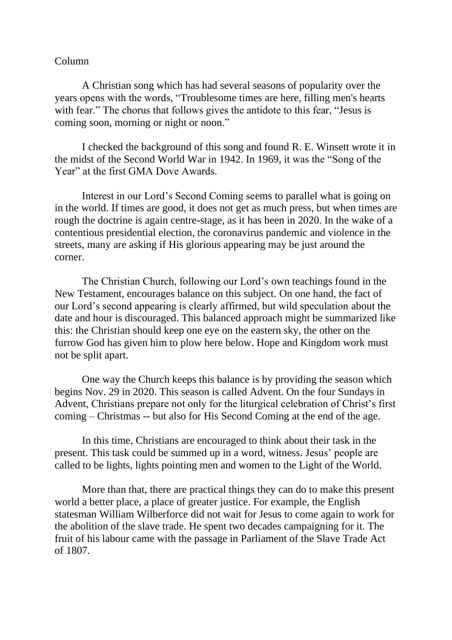## Column

A Christian song which has had several seasons of popularity over the years opens with the words, "Troublesome times are here, filling men's hearts with fear." The chorus that follows gives the antidote to this fear, "Jesus is coming soon, morning or night or noon."

I checked the background of this song and found R. E. Winsett wrote it in the midst of the Second World War in 1942. In 1969, it was the "Song of the Year" at the first GMA Dove Awards.

Interest in our Lord's Second Coming seems to parallel what is going on in the world. If times are good, it does not get as much press, but when times are rough the doctrine is again centre-stage, as it has been in 2020. In the wake of a contentious presidential election, the coronavirus pandemic and violence in the streets, many are asking if His glorious appearing may be just around the corner.

The Christian Church, following our Lord's own teachings found in the New Testament, encourages balance on this subject. On one hand, the fact of our Lord's second appearing is clearly affirmed, but wild speculation about the date and hour is discouraged. This balanced approach might be summarized like this: the Christian should keep one eye on the eastern sky, the other on the furrow God has given him to plow here below. Hope and Kingdom work must not be split apart.

One way the Church keeps this balance is by providing the season which begins Nov. 29 in 2020. This season is called Advent. On the four Sundays in Advent, Christians prepare not only for the liturgical celebration of Christ's first coming – Christmas -- but also for His Second Coming at the end of the age.

In this time, Christians are encouraged to think about their task in the present. This task could be summed up in a word, witness. Jesus' people are called to be lights, lights pointing men and women to the Light of the World.

More than that, there are practical things they can do to make this present world a better place, a place of greater justice. For example, the English statesman William Wilberforce did not wait for Jesus to come again to work for the abolition of the slave trade. He spent two decades campaigning for it. The fruit of his labour came with the passage in Parliament of the Slave Trade Act of 1807.